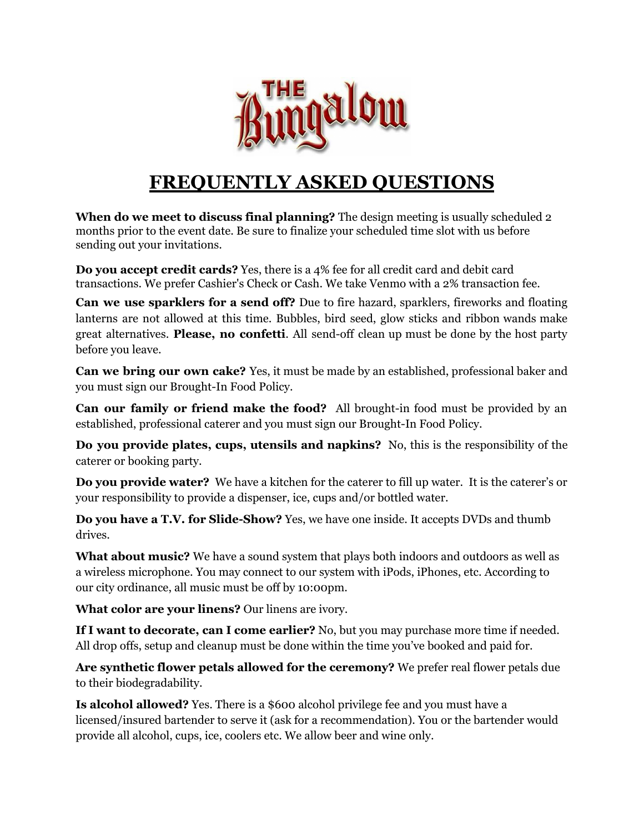

## **FREQUENTLY ASKED QUESTIONS**

**When do we meet to discuss final planning?** The design meeting is usually scheduled 2 months prior to the event date. Be sure to finalize your scheduled time slot with us before sending out your invitations.

**Do you accept credit cards?** Yes, there is a 4% fee for all credit card and debit card transactions. We prefer Cashier's Check or Cash. We take Venmo with a 2% transaction fee.

**Can we use sparklers for a send off?** Due to fire hazard, sparklers, fireworks and floating lanterns are not allowed at this time. Bubbles, bird seed, glow sticks and ribbon wands make great alternatives. **Please, no confetti**. All send-off clean up must be done by the host party before you leave.

**Can we bring our own cake?** Yes, it must be made by an established, professional baker and you must sign our Brought-In Food Policy.

**Can our family or friend make the food?** All brought-in food must be provided by an established, professional caterer and you must sign our Brought-In Food Policy.

**Do you provide plates, cups, utensils and napkins?** No, this is the responsibility of the caterer or booking party.

**Do you provide water?** We have a kitchen for the caterer to fill up water. It is the caterer's or your responsibility to provide a dispenser, ice, cups and/or bottled water.

**Do you have a T.V. for Slide-Show?** Yes, we have one inside. It accepts DVDs and thumb drives.

**What about music?** We have a sound system that plays both indoors and outdoors as well as a wireless microphone. You may connect to our system with iPods, iPhones, etc. According to our city ordinance, all music must be off by 10:00pm.

**What color are your linens?** Our linens are ivory.

**If I want to decorate, can I come earlier?** No, but you may purchase more time if needed. All drop offs, setup and cleanup must be done within the time you've booked and paid for.

**Are synthetic flower petals allowed for the ceremony?** We prefer real flower petals due to their biodegradability.

**Is alcohol allowed?** Yes. There is a \$600 alcohol privilege fee and you must have a licensed/insured bartender to serve it (ask for a recommendation). You or the bartender would provide all alcohol, cups, ice, coolers etc. We allow beer and wine only.